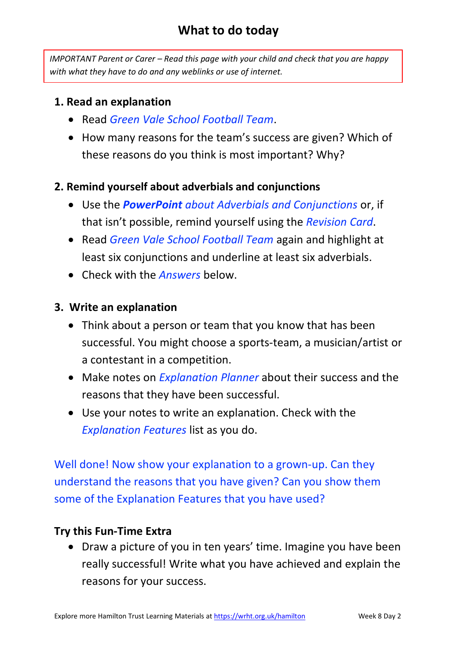## **What to do today**

*IMPORTANT Parent or Carer – Read this page with your child and check that you are happy with what they have to do and any weblinks or use of internet.* 

## **1. Read an explanation**

- Read *Green Vale School Football Team*.
- How many reasons for the team's success are given? Which of these reasons do you think is most important? Why?

## **2. Remind yourself about adverbials and conjunctions**

- Use the *PowerPoint about Adverbials and Conjunctions* or, if that isn't possible, remind yourself using the *Revision Card*.
- Read *Green Vale School Football Team* again and highlight at least six conjunctions and underline at least six adverbials.
- Check with the *Answers* below.

### **3. Write an explanation**

- Think about a person or team that you know that has been successful. You might choose a sports-team, a musician/artist or a contestant in a competition.
- Make notes on *Explanation Planner* about their success and the reasons that they have been successful.
- Use your notes to write an explanation. Check with the *Explanation Features* list as you do.

Well done! Now show your explanation to a grown-up. Can they understand the reasons that you have given? Can you show them some of the Explanation Features that you have used?

### **Try this Fun-Time Extra**

• Draw a picture of you in ten years' time. Imagine you have been really successful! Write what you have achieved and explain the reasons for your success.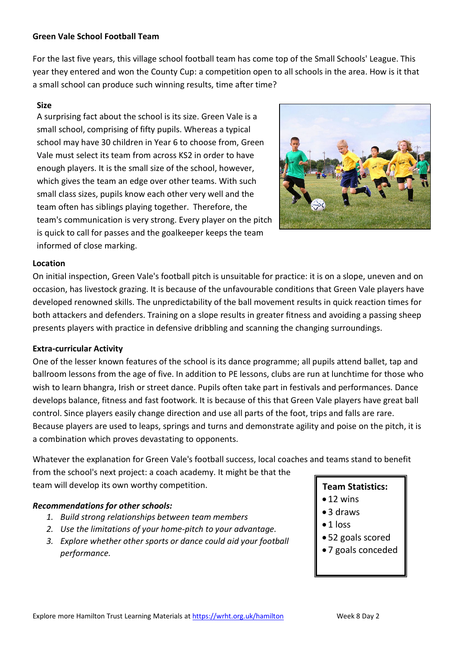### **Green Vale School Football Team**

For the last five years, this village school football team has come top of the Small Schools' League. This year they entered and won the County Cup: a competition open to all schools in the area. How is it that a small school can produce such winning results, time after time?

### **Size**

A surprising fact about the school is its size. Green Vale is a small school, comprising of fifty pupils. Whereas a typical school may have 30 children in Year 6 to choose from, Green Vale must select its team from across KS2 in order to have enough players. It is the small size of the school, however, which gives the team an edge over other teams. With such small class sizes, pupils know each other very well and the team often has siblings playing together. Therefore, the team's communication is very strong. Every player on the pitch is quick to call for passes and the goalkeeper keeps the team informed of close marking.



### **Location**

On initial inspection, Green Vale's football pitch is unsuitable for practice: it is on a slope, uneven and on occasion, has livestock grazing. It is because of the unfavourable conditions that Green Vale players have developed renowned skills. The unpredictability of the ball movement results in quick reaction times for both attackers and defenders. Training on a slope results in greater fitness and avoiding a passing sheep presents players with practice in defensive dribbling and scanning the changing surroundings.

### **Extra-curricular Activity**

One of the lesser known features of the school is its dance programme; all pupils attend ballet, tap and ballroom lessons from the age of five. In addition to PE lessons, clubs are run at lunchtime for those who wish to learn bhangra, Irish or street dance. Pupils often take part in festivals and performances. Dance develops balance, fitness and fast footwork. It is because of this that Green Vale players have great ball control. Since players easily change direction and use all parts of the foot, trips and falls are rare. Because players are used to leaps, springs and turns and demonstrate agility and poise on the pitch, it is a combination which proves devastating to opponents.

Whatever the explanation for Green Vale's football success, local coaches and teams stand to benefit from the school's next project: a coach academy. It might be that the team will develop its own worthy competition.

### *Recommendations for other schools:*

- *1. Build strong relationships between team members*
- *2. Use the limitations of your home-pitch to your advantage.*
- *3. Explore whether other sports or dance could aid your football performance.*

### **Team Statistics:**

- 12 wins
- 3 draws
- $\bullet$  1 loss
- 52 goals scored
- 7 goals conceded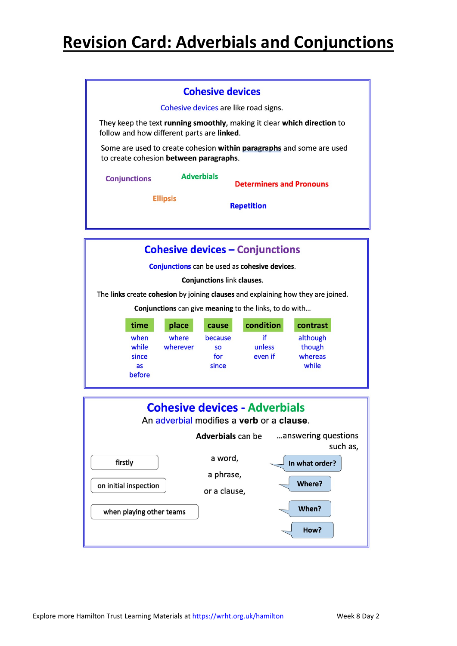# **Revision Card: Adverbials and Conjunctions**

|                                                                                                                | <b>Cohesive devices</b>                                                                                               |  |                                 |  |  |  |  |
|----------------------------------------------------------------------------------------------------------------|-----------------------------------------------------------------------------------------------------------------------|--|---------------------------------|--|--|--|--|
|                                                                                                                | Cohesive devices are like road signs.                                                                                 |  |                                 |  |  |  |  |
|                                                                                                                | They keep the text running smoothly, making it clear which direction to<br>follow and how different parts are linked. |  |                                 |  |  |  |  |
| Some are used to create cohesion within paragraphs and some are used<br>to create cohesion between paragraphs. |                                                                                                                       |  |                                 |  |  |  |  |
|                                                                                                                | <b>Adverbials</b><br><b>Conjunctions</b>                                                                              |  | <b>Determiners and Pronouns</b> |  |  |  |  |
| <b>Ellipsis</b>                                                                                                |                                                                                                                       |  | <b>Repetition</b>               |  |  |  |  |
|                                                                                                                |                                                                                                                       |  |                                 |  |  |  |  |

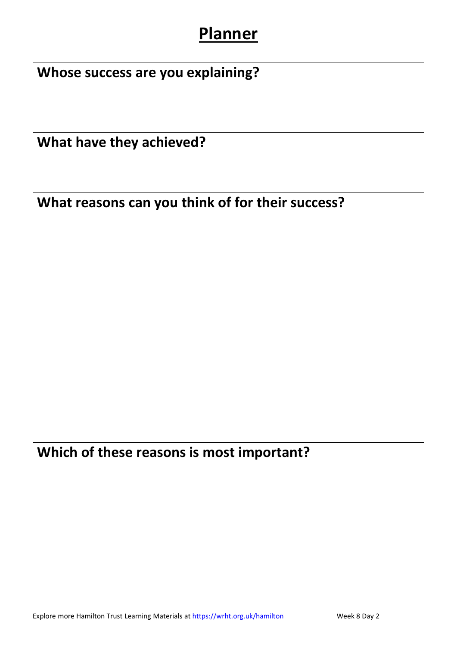# **Planner**

| Whose success are you explaining? |                                                  |  |  |  |  |
|-----------------------------------|--------------------------------------------------|--|--|--|--|
|                                   | What have they achieved?                         |  |  |  |  |
|                                   | What reasons can you think of for their success? |  |  |  |  |
|                                   |                                                  |  |  |  |  |
|                                   |                                                  |  |  |  |  |
|                                   |                                                  |  |  |  |  |
|                                   |                                                  |  |  |  |  |
|                                   |                                                  |  |  |  |  |
|                                   | Which of these reasons is most important?        |  |  |  |  |
|                                   |                                                  |  |  |  |  |
|                                   |                                                  |  |  |  |  |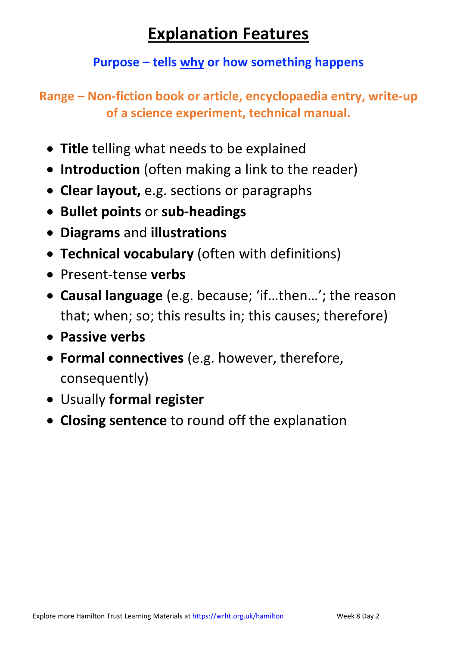# **Explanation Features**

## **Purpose – tells why or how something happens**

**Range – Non-fiction book or article, encyclopaedia entry, write-up of a science experiment, technical manual.** 

- **Title** telling what needs to be explained
- **Introduction** (often making a link to the reader)
- **Clear layout,** e.g. sections or paragraphs
- **Bullet points** or **sub-headings**
- **Diagrams** and **illustrations**
- **Technical vocabulary** (often with definitions)
- Present-tense **verbs**
- **Causal language** (e.g. because; 'if…then…'; the reason that; when; so; this results in; this causes; therefore)
- **Passive verbs**
- **Formal connectives** (e.g. however, therefore, consequently)
- Usually **formal register**
- **Closing sentence** to round off the explanation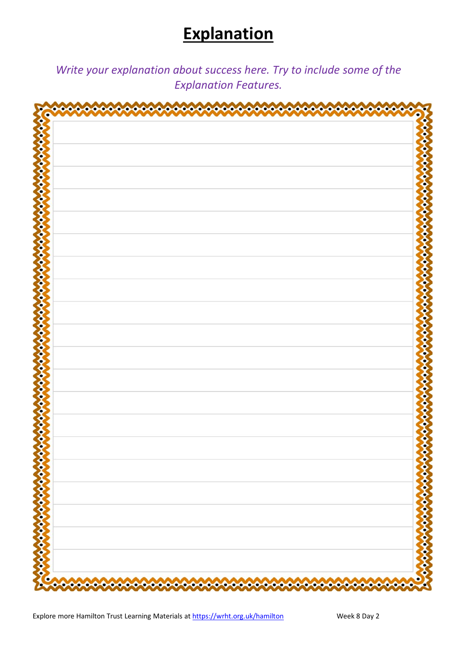# **Explanation**

*Write your explanation about success here. Try to include some of the Explanation Features.*

| منم<br>منم<br>a<br>مہ<br>۵<br>⊿<br>ó<br>△<br>^<br>▵<br>66666<br>♦<br>ó | ∽<br>مم<br>∽<br>∾<br>^<br>ە<br>Δ<br>n |
|------------------------------------------------------------------------|---------------------------------------|
|                                                                        |                                       |
|                                                                        |                                       |
|                                                                        |                                       |
|                                                                        |                                       |
|                                                                        |                                       |
|                                                                        |                                       |
|                                                                        |                                       |
|                                                                        |                                       |
|                                                                        |                                       |
|                                                                        |                                       |
|                                                                        |                                       |
|                                                                        |                                       |
|                                                                        |                                       |
|                                                                        |                                       |
|                                                                        |                                       |
|                                                                        |                                       |
|                                                                        |                                       |
|                                                                        |                                       |
|                                                                        |                                       |
|                                                                        |                                       |
|                                                                        |                                       |
|                                                                        |                                       |
|                                                                        |                                       |
|                                                                        |                                       |
|                                                                        |                                       |
|                                                                        |                                       |
|                                                                        |                                       |
|                                                                        |                                       |
|                                                                        |                                       |
| $\bullet$                                                              |                                       |
|                                                                        |                                       |
|                                                                        |                                       |
|                                                                        |                                       |
|                                                                        |                                       |
|                                                                        |                                       |
|                                                                        |                                       |
|                                                                        |                                       |
|                                                                        |                                       |
|                                                                        |                                       |
|                                                                        |                                       |
|                                                                        |                                       |
| <b>Control Control Control Control</b>                                 | 000000000000000000                    |
| <b>C</b>                                                               | D<br>Ζ                                |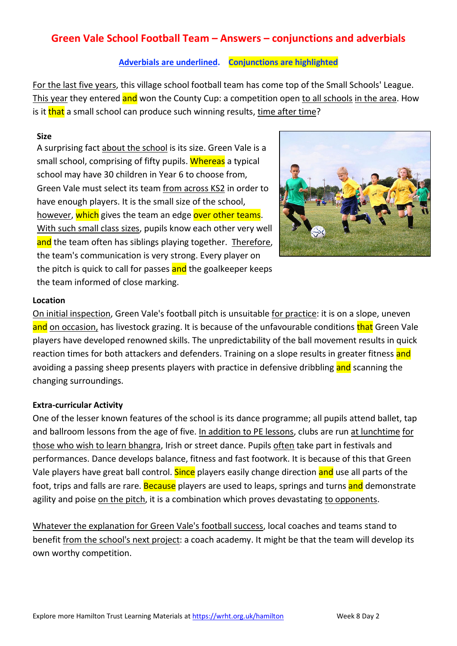## **Green Vale School Football Team – Answers – conjunctions and adverbials**

### **Adverbials are underlined. Conjunctions are highlighted**

For the last five years, this village school football team has come top of the Small Schools' League. This year they entered and won the County Cup: a competition open to all schools in the area. How is it that a small school can produce such winning results, time after time?

### **Size**

A surprising fact about the school is its size. Green Vale is a small school, comprising of fifty pupils. Whereas a typical school may have 30 children in Year 6 to choose from, Green Vale must select its team from across KS2 in order to have enough players. It is the small size of the school, however, which gives the team an edge over other teams. With such small class sizes, pupils know each other very well and the team often has siblings playing together. Therefore, the team's communication is very strong. Every player on the pitch is quick to call for passes and the goalkeeper keeps the team informed of close marking.



### **Location**

On initial inspection, Green Vale's football pitch is unsuitable for practice: it is on a slope, uneven and on occasion, has livestock grazing. It is because of the unfavourable conditions that Green Vale players have developed renowned skills. The unpredictability of the ball movement results in quick reaction times for both attackers and defenders. Training on a slope results in greater fitness and avoiding a passing sheep presents players with practice in defensive dribbling and scanning the changing surroundings.

### **Extra-curricular Activity**

One of the lesser known features of the school is its dance programme; all pupils attend ballet, tap and ballroom lessons from the age of five. In addition to PE lessons, clubs are run at lunchtime for those who wish to learn bhangra, Irish or street dance. Pupils often take part in festivals and performances. Dance develops balance, fitness and fast footwork. It is because of this that Green Vale players have great ball control. Since players easily change direction and use all parts of the foot, trips and falls are rare. Because players are used to leaps, springs and turns and demonstrate agility and poise on the pitch, it is a combination which proves devastating to opponents.

Whatever the explanation for Green Vale's football success, local coaches and teams stand to benefit from the school's next project: a coach academy. It might be that the team will develop its own worthy competition.